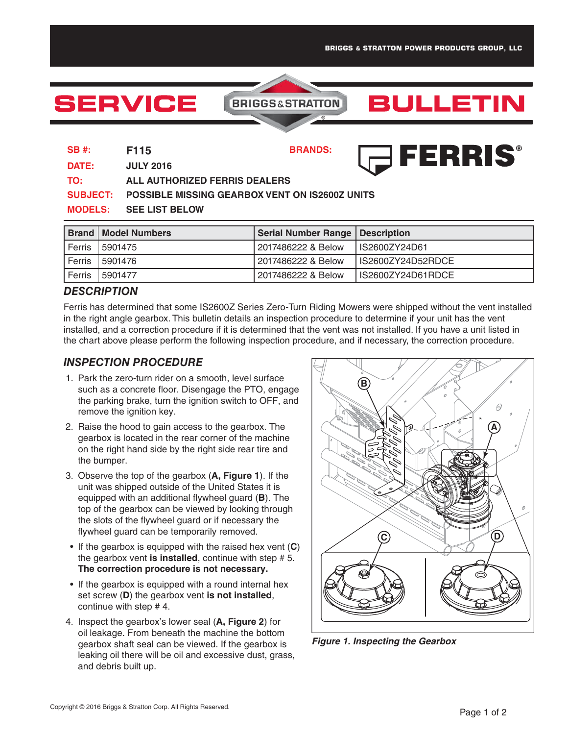**BULLETIN** 

# **SERVICE**

## **BRIGGS&STRATTON**

### FERRIS® **SB #: F115 BRANDS:**

**DATE: JULY 2016 TO: ALL AUTHORIZED FERRIS DEALERS SUBJECT: POSSIBLE MISSING GEARBOX VENT ON IS2600Z UNITS MODELS: SEE LIST BELOW**

|        | <b>Brand   Model Numbers</b> | <b>Serial Number Range   Description</b> |                   |
|--------|------------------------------|------------------------------------------|-------------------|
| Ferris | 5901475                      | 2017486222 & Below                       | LIS2600ZY24D61    |
| Ferris | 5901476                      | 2017486222 & Below                       | IS2600ZY24D52RDCE |
| Ferris | 5901477                      | 2017486222 & Below                       | IS2600ZY24D61RDCE |

#### *DESCRIPTION*

Ferris has determined that some IS2600Z Series Zero-Turn Riding Mowers were shipped without the vent installed in the right angle gearbox. This bulletin details an inspection procedure to determine if your unit has the vent installed, and a correction procedure if it is determined that the vent was not installed. If you have a unit listed in the chart above please perform the following inspection procedure, and if necessary, the correction procedure.

#### *INSPECTION PROCEDURE*

- 1. Park the zero-turn rider on a smooth, level surface such as a concrete floor. Disengage the PTO, engage the parking brake, turn the ignition switch to OFF, and remove the ignition key.
- 2. Raise the hood to gain access to the gearbox. The gearbox is located in the rear corner of the machine on the right hand side by the right side rear tire and the bumper.
- 3. Observe the top of the gearbox (**A, Figure 1**). If the unit was shipped outside of the United States it is equipped with an additional flywheel guard (**B**). The top of the gearbox can be viewed by looking through the slots of the flywheel guard or if necessary the flywheel guard can be temporarily removed.
- If the gearbox is equipped with the raised hex vent (**C**) the gearbox vent **is installed**, continue with step # 5. **The correction procedure is not necessary.**
- If the gearbox is equipped with a round internal hex set screw (**D**) the gearbox vent **is not installed**, continue with step # 4.
- 4. Inspect the gearbox's lower seal (**A, Figure 2**) for oil leakage. From beneath the machine the bottom gearbox shaft seal can be viewed. If the gearbox is leaking oil there will be oil and excessive dust, grass, and debris built up.



*Figure 1.Inspecting the Gearbox*